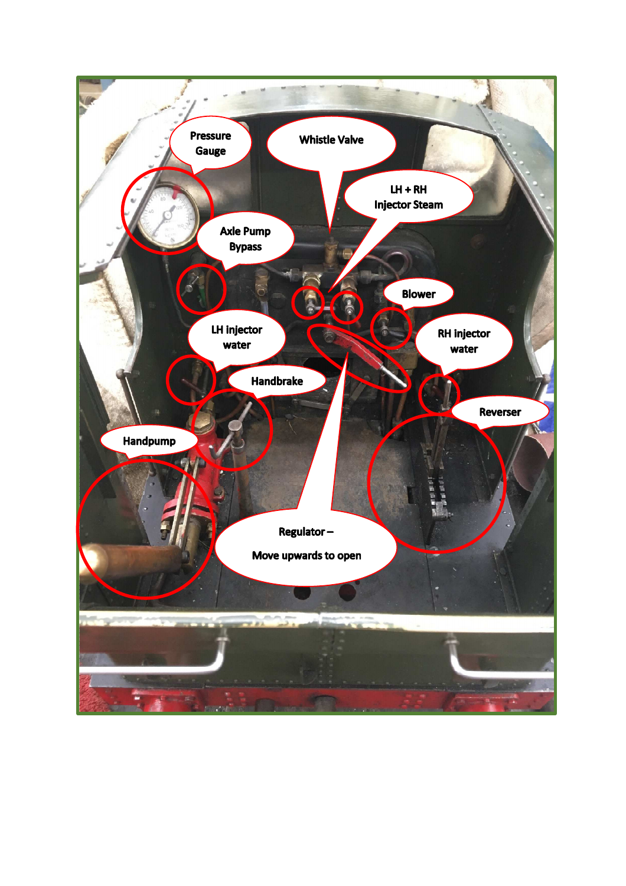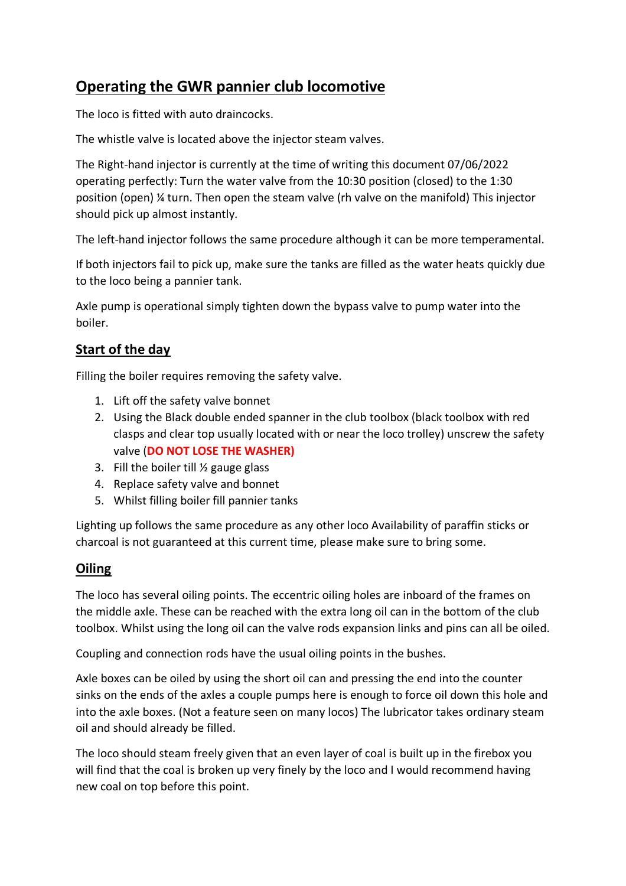## **Operating the GWR pannier club locomotive**

The loco is fitted with auto draincocks.

The whistle valve is located above the injector steam valves.

The Right-hand injector is currently at the time of writing this document 07/06/2022 operating perfectly: Turn the water valve from the 10:30 position (closed) to the 1:30 position (open) ¼ turn. Then open the steam valve (rh valve on the manifold) This injector should pick up almost instantly.

The left-hand injector follows the same procedure although it can be more temperamental.

If both injectors fail to pick up, make sure the tanks are filled as the water heats quickly due to the loco being a pannier tank.

Axle pump is operational simply tighten down the bypass valve to pump water into the boiler.

## **Start of the day**

Filling the boiler requires removing the safety valve.

- 1. Lift off the safety valve bonnet
- 2. Using the Black double ended spanner in the club toolbox (black toolbox with red clasps and clear top usually located with or near the loco trolley) unscrew the safety valve (**DO NOT LOSE THE WASHER)**
- 3. Fill the boiler till ½ gauge glass
- 4. Replace safety valve and bonnet
- 5. Whilst filling boiler fill pannier tanks

Lighting up follows the same procedure as any other loco Availability of paraffin sticks or charcoal is not guaranteed at this current time, please make sure to bring some.

## **Oiling**

The loco has several oiling points. The eccentric oiling holes are inboard of the frames on the middle axle. These can be reached with the extra long oil can in the bottom of the club toolbox. Whilst using the long oil can the valve rods expansion links and pins can all be oiled.

Coupling and connection rods have the usual oiling points in the bushes.

Axle boxes can be oiled by using the short oil can and pressing the end into the counter sinks on the ends of the axles a couple pumps here is enough to force oil down this hole and into the axle boxes. (Not a feature seen on many locos) The lubricator takes ordinary steam oil and should already be filled.

The loco should steam freely given that an even layer of coal is built up in the firebox you will find that the coal is broken up very finely by the loco and I would recommend having new coal on top before this point.